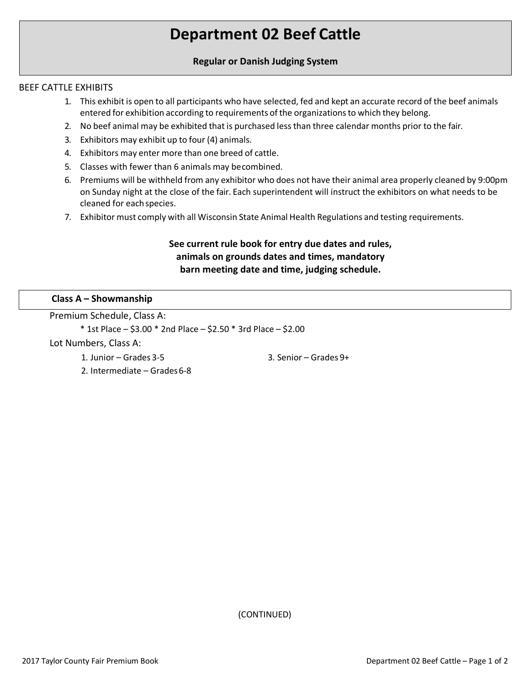# **Department 02 Beef Cattle**

## **Regular or Danish Judging System**

### BEEF CATTLE EXHIBITS

- 1. This exhibit is open to all participants who have selected, fed and kept an accurate record of the beef animals entered for exhibition according to requirements of the organizationsto which they belong.
- 2. No beef animal may be exhibited that is purchased less than three calendar months prior to the fair.
- 3. Exhibitors may exhibit up to four (4) animals.
- 4. Exhibitors may enter more than one breed of cattle.
- 5. Classes with fewer than 6 animals may becombined.
- 6. Premiums will be withheld from any exhibitor who does not have their animal area properly cleaned by 9:00pm on Sunday night at the close of the fair. Each superintendent will instruct the exhibitors on what needs to be cleaned for eachspecies.
- 7. Exhibitor must comply with all Wisconsin State Animal Health Regulations and testing requirements.

# **See current rule book for entry due dates and rules, animals on grounds dates and times, mandatory barn meeting date and time, judging schedule.**

### **Class A – Showmanship**

Premium Schedule, Class A:

\* 1st Place – \$3.00 \* 2nd Place – \$2.50 \* 3rd Place – \$2.00

Lot Numbers, Class A:

1. Junior – Grades 3-5

3. Senior – Grades 9+

2. Intermediate – Grades6-8

(CONTINUED)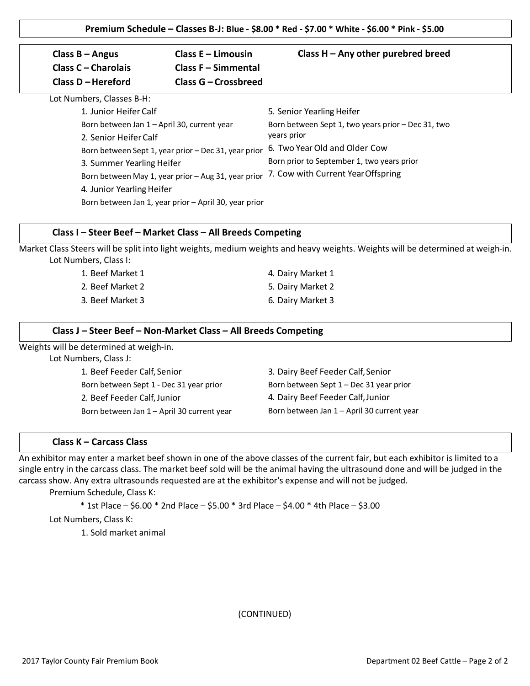| Class $B -$ Angus<br>Class C - Charolais    | Class $E - Limousin$<br>Class F - Simmental           | Class $H - Any other purebred$ breed               |  |
|---------------------------------------------|-------------------------------------------------------|----------------------------------------------------|--|
| Class D - Hereford                          | Class G – Crossbreed                                  |                                                    |  |
| Lot Numbers, Classes B-H:                   |                                                       |                                                    |  |
| 1. Junior Heifer Calf                       |                                                       | 5. Senior Yearling Heifer                          |  |
| Born between Jan 1 - April 30, current year |                                                       | Born between Sept 1, two years prior – Dec 31, two |  |
| 2. Senior Heifer Calf                       |                                                       | years prior                                        |  |
|                                             | Born between Sept 1, year prior - Dec 31, year prior  | 6. Two Year Old and Older Cow                      |  |
| 3. Summer Yearling Heifer                   |                                                       | Born prior to September 1, two years prior         |  |
|                                             | Born between May 1, year prior - Aug 31, year prior   | 7. Cow with Current Year Offspring                 |  |
| 4. Junior Yearling Heifer                   |                                                       |                                                    |  |
|                                             | Born between Jan 1, year prior - April 30, year prior |                                                    |  |

#### **Class I – Steer Beef – Market Class – All Breeds Competing**

Market Class Steers will be split into light weights, medium weights and heavy weights. Weights will be determined at weigh-in. Lot Numbers, Class I:

| 1. Beef Market 1 | 4. Dairy Market 1 |
|------------------|-------------------|
| 2. Beef Market 2 | 5. Dairy Market 2 |
| 3. Beef Market 3 | 6. Dairy Market 3 |

#### **Class J – Steer Beef – Non-Market Class – All Breeds Competing**

Weights will be determined at weigh-in.

Lot Numbers, Class J:

1. Beef Feeder Calf, Senior Born between Sept 1 - Dec 31 year prior 2. Beef Feeder Calf,Junior Born between Jan 1 – April 30 current year 3. Dairy Beef Feeder Calf,Senior Born between Sept 1 – Dec 31 year prior 4. Dairy Beef Feeder Calf,Junior Born between Jan 1 – April 30 current year

#### **Class K – Carcass Class**

An exhibitor may enter a market beef shown in one of the above classes of the current fair, but each exhibitor is limited to a single entry in the carcass class. The market beef sold will be the animal having the ultrasound done and will be judged in the carcass show. Any extra ultrasounds requested are at the exhibitor's expense and will not be judged.

Premium Schedule, Class K:

\* 1st Place – \$6.00 \* 2nd Place – \$5.00 \* 3rd Place – \$4.00 \* 4th Place – \$3.00

Lot Numbers, Class K:

1. Sold market animal

(CONTINUED)